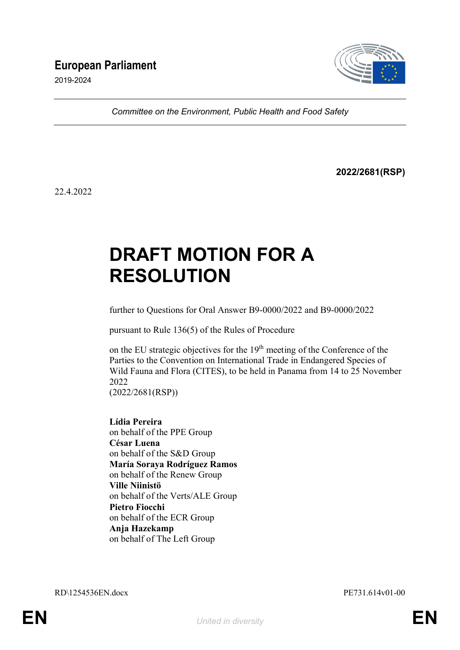2019-2024



*Committee on the Environment, Public Health and Food Safety*

**2022/2681(RSP)**

22.4.2022

# **DRAFT MOTION FOR A RESOLUTION**

further to Questions for Oral Answer B9-0000/2022 and B9-0000/2022

pursuant to Rule 136(5) of the Rules of Procedure

on the EU strategic objectives for the 19<sup>th</sup> meeting of the Conference of the Parties to the Convention on International Trade in Endangered Species of Wild Fauna and Flora (CITES), to be held in Panama from 14 to 25 November 2022

(2022/2681(RSP))

**Lídia Pereira** on behalf of the PPE Group **César Luena** on behalf of the S&D Group **María Soraya Rodríguez Ramos** on behalf of the Renew Group **Ville Niinistö** on behalf of the Verts/ALE Group **Pietro Fiocchi** on behalf of the ECR Group **Anja Hazekamp** on behalf of The Left Group

RD\1254536EN.docx PE731.614v01-00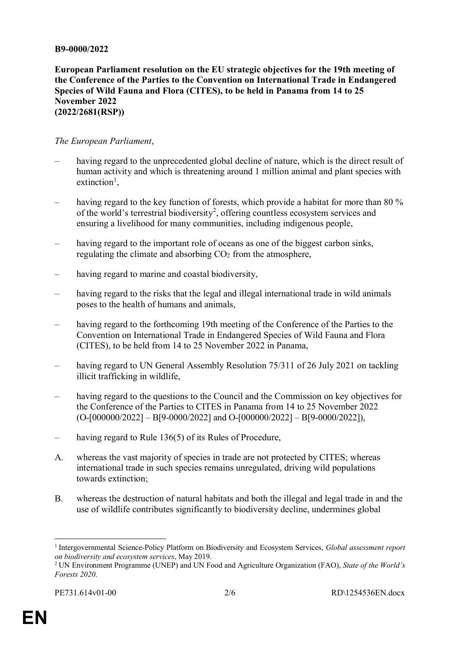#### **B9-0000/2022**

**European Parliament resolution on the EU strategic objectives for the 19th meeting of the Conference of the Parties to the Convention on International Trade in Endangered Species of Wild Fauna and Flora (CITES), to be held in Panama from 14 to 25 November 2022 (2022/2681(RSP))**

#### *The European Parliament*,

- having regard to the unprecedented global decline of nature, which is the direct result of human activity and which is threatening around 1 million animal and plant species with extinction<sup>1</sup>,
- having regard to the key function of forests, which provide a habitat for more than 80 % of the world's terrestrial biodiversity<sup>2</sup>, offering countless ecosystem services and ensuring a livelihood for many communities, including indigenous people,
- having regard to the important role of oceans as one of the biggest carbon sinks, regulating the climate and absorbing  $CO<sub>2</sub>$  from the atmosphere,
- having regard to marine and coastal biodiversity,
- having regard to the risks that the legal and illegal international trade in wild animals poses to the health of humans and animals,
- having regard to the forthcoming 19th meeting of the Conference of the Parties to the Convention on International Trade in Endangered Species of Wild Fauna and Flora (CITES), to be held from 14 to 25 November 2022 in Panama,
- having regard to UN General Assembly Resolution 75/311 of 26 July 2021 on tackling illicit trafficking in wildlife,
- having regard to the questions to the Council and the Commission on key objectives for the Conference of the Parties to CITES in Panama from 14 to 25 November 2022  $(O-[000000/2022] - B[9-0000/2022]$  and  $O-[000000/2022] - B[9-0000/2022]$ ,
- having regard to Rule 136(5) of its Rules of Procedure,
- A. whereas the vast majority of species in trade are not protected by CITES; whereas international trade in such species remains unregulated, driving wild populations towards extinction;
- B. whereas the destruction of natural habitats and both the illegal and legal trade in and the use of wildlife contributes significantly to biodiversity decline, undermines global

 $\overline{a}$ 

<sup>&</sup>lt;sup>1</sup> Intergovernmental Science-Policy Platform on Biodiversity and Ecosystem Services, *Global assessment report on biodiversity and ecosystem services*, May 2019.

<sup>2</sup> UN Environment Programme (UNEP) and UN Food and Agriculture Organization (FAO), *State of the World's Forests 2020*.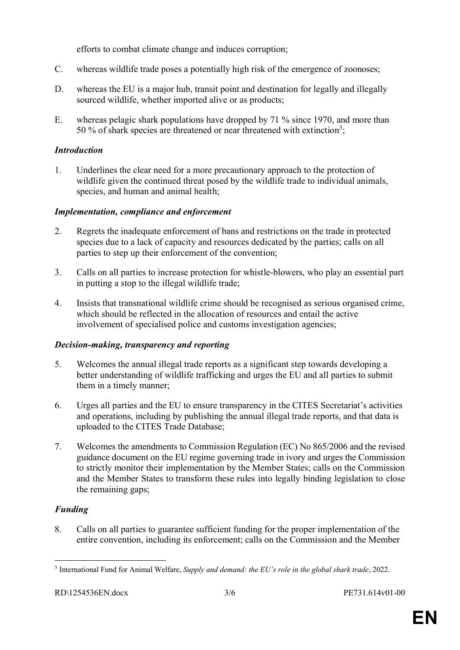efforts to combat climate change and induces corruption;

- C. whereas wildlife trade poses a potentially high risk of the emergence of zoonoses;
- D. whereas the EU is a major hub, transit point and destination for legally and illegally sourced wildlife, whether imported alive or as products;
- E. whereas pelagic shark populations have dropped by 71 % since 1970, and more than 50 % of shark species are threatened or near threatened with extinction<sup>3</sup>;

# *Introduction*

1. Underlines the clear need for a more precautionary approach to the protection of wildlife given the continued threat posed by the wildlife trade to individual animals, species, and human and animal health;

# *Implementation, compliance and enforcement*

- 2. Regrets the inadequate enforcement of bans and restrictions on the trade in protected species due to a lack of capacity and resources dedicated by the parties; calls on all parties to step up their enforcement of the convention;
- 3. Calls on all parties to increase protection for whistle-blowers, who play an essential part in putting a stop to the illegal wildlife trade;
- 4. Insists that transnational wildlife crime should be recognised as serious organised crime, which should be reflected in the allocation of resources and entail the active involvement of specialised police and customs investigation agencies;

# *Decision-making, transparency and reporting*

- 5. Welcomes the annual illegal trade reports as a significant step towards developing a better understanding of wildlife trafficking and urges the EU and all parties to submit them in a timely manner;
- 6. Urges all parties and the EU to ensure transparency in the CITES Secretariat's activities and operations, including by publishing the annual illegal trade reports, and that data is uploaded to the CITES Trade Database;
- 7. Welcomes the amendments to Commission Regulation (EC) No 865/2006 and the revised guidance document on the EU regime governing trade in ivory and urges the Commission to strictly monitor their implementation by the Member States; calls on the Commission and the Member States to transform these rules into legally binding legislation to close the remaining gaps;

# *Funding*

8. Calls on all parties to guarantee sufficient funding for the proper implementation of the entire convention, including its enforcement; calls on the Commission and the Member

 $\overline{a}$ 3 International Fund for Animal Welfare, *Supply and demand: the EU's role in the global shark trade*, 2022.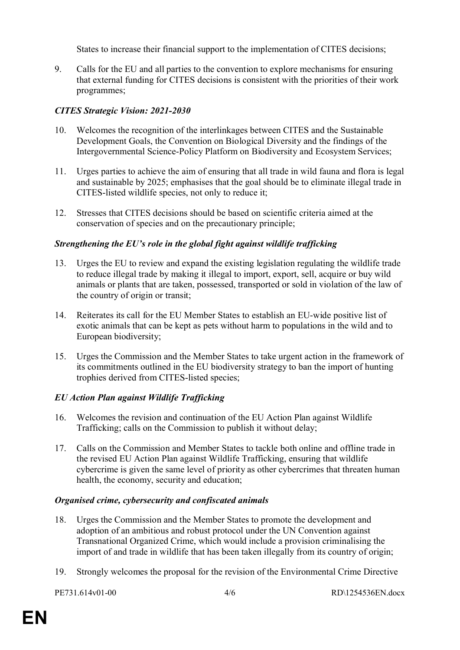States to increase their financial support to the implementation of CITES decisions;

9. Calls for the EU and all parties to the convention to explore mechanisms for ensuring that external funding for CITES decisions is consistent with the priorities of their work programmes;

# *CITES Strategic Vision: 2021-2030*

- 10. Welcomes the recognition of the interlinkages between CITES and the Sustainable Development Goals, the Convention on Biological Diversity and the findings of the Intergovernmental Science-Policy Platform on Biodiversity and Ecosystem Services;
- 11. Urges parties to achieve the aim of ensuring that all trade in wild fauna and flora is legal and sustainable by 2025; emphasises that the goal should be to eliminate illegal trade in CITES-listed wildlife species, not only to reduce it;
- 12. Stresses that CITES decisions should be based on scientific criteria aimed at the conservation of species and on the precautionary principle;

# *Strengthening the EU's role in the global fight against wildlife trafficking*

- 13. Urges the EU to review and expand the existing legislation regulating the wildlife trade to reduce illegal trade by making it illegal to import, export, sell, acquire or buy wild animals or plants that are taken, possessed, transported or sold in violation of the law of the country of origin or transit;
- 14. Reiterates its call for the EU Member States to establish an EU-wide positive list of exotic animals that can be kept as pets without harm to populations in the wild and to European biodiversity;
- 15. Urges the Commission and the Member States to take urgent action in the framework of its commitments outlined in the EU biodiversity strategy to ban the import of hunting trophies derived from CITES-listed species;

# *EU Action Plan against Wildlife Trafficking*

- 16. Welcomes the revision and continuation of the EU Action Plan against Wildlife Trafficking; calls on the Commission to publish it without delay;
- 17. Calls on the Commission and Member States to tackle both online and offline trade in the revised EU Action Plan against Wildlife Trafficking, ensuring that wildlife cybercrime is given the same level of priority as other cybercrimes that threaten human health, the economy, security and education;

# *Organised crime, cybersecurity and confiscated animals*

- 18. Urges the Commission and the Member States to promote the development and adoption of an ambitious and robust protocol under the UN Convention against Transnational Organized Crime, which would include a provision criminalising the import of and trade in wildlife that has been taken illegally from its country of origin;
- 19. Strongly welcomes the proposal for the revision of the Environmental Crime Directive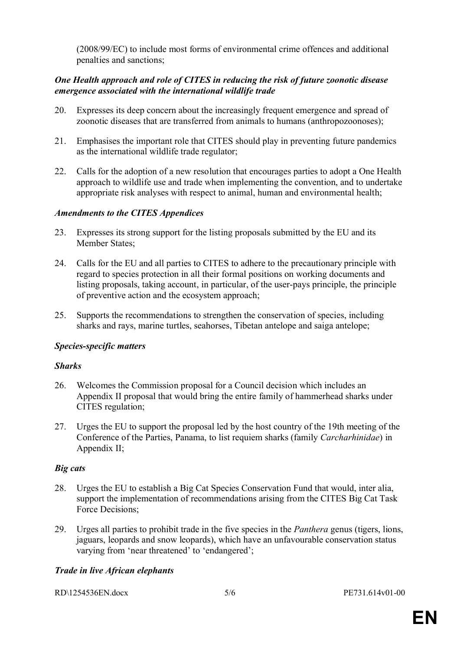(2008/99/EC) to include most forms of environmental crime offences and additional penalties and sanctions;

#### *One Health approach and role of CITES in reducing the risk of future zoonotic disease emergence associated with the international wildlife trade*

- 20. Expresses its deep concern about the increasingly frequent emergence and spread of zoonotic diseases that are transferred from animals to humans (anthropozoonoses);
- 21. Emphasises the important role that CITES should play in preventing future pandemics as the international wildlife trade regulator;
- 22. Calls for the adoption of a new resolution that encourages parties to adopt a One Health approach to wildlife use and trade when implementing the convention, and to undertake appropriate risk analyses with respect to animal, human and environmental health;

#### *Amendments to the CITES Appendices*

- 23. Expresses its strong support for the listing proposals submitted by the EU and its Member States;
- 24. Calls for the EU and all parties to CITES to adhere to the precautionary principle with regard to species protection in all their formal positions on working documents and listing proposals, taking account, in particular, of the user-pays principle, the principle of preventive action and the ecosystem approach;
- 25. Supports the recommendations to strengthen the conservation of species, including sharks and rays, marine turtles, seahorses, Tibetan antelope and saiga antelope;

#### *Species-specific matters*

#### *Sharks*

- 26. Welcomes the Commission proposal for a Council decision which includes an Appendix II proposal that would bring the entire family of hammerhead sharks under CITES regulation;
- 27. Urges the EU to support the proposal led by the host country of the 19th meeting of the Conference of the Parties, Panama, to list requiem sharks (family *Carcharhinidae*) in Appendix II;

#### *Big cats*

- 28. Urges the EU to establish a Big Cat Species Conservation Fund that would, inter alia, support the implementation of recommendations arising from the CITES Big Cat Task Force Decisions;
- 29. Urges all parties to prohibit trade in the five species in the *Panthera* genus (tigers, lions, jaguars, leopards and snow leopards), which have an unfavourable conservation status varying from 'near threatened' to 'endangered';

#### *Trade in live African elephants*

| RD\1254536EN.docx |
|-------------------|
|-------------------|